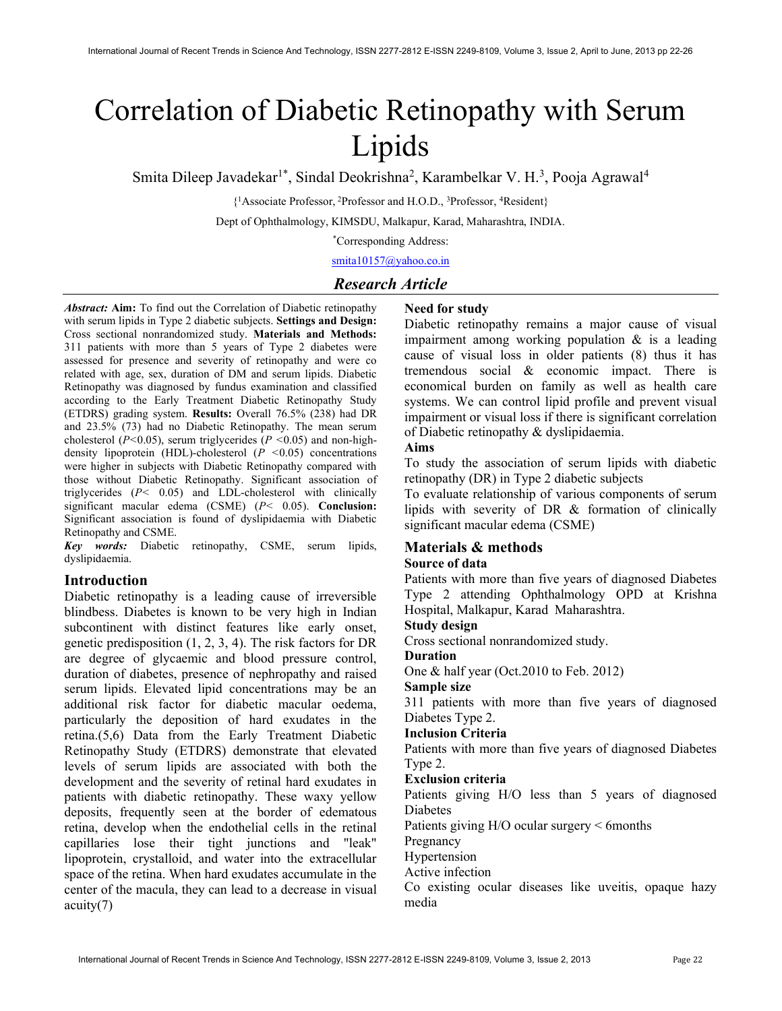# Correlation of Diabetic Retinopathy with Serum Lipids

Smita Dileep Javadekar<sup>1\*</sup>, Sindal Deokrishna<sup>2</sup>, Karambelkar V. H.<sup>3</sup>, Pooja Agrawal<sup>4</sup>

{ <sup>1</sup>Associate Professor,<sup>2</sup>Professor and H.O.D., <sup>3</sup>Professor, <sup>4</sup>Resident}

Dept of Ophthalmology, KIMSDU, Malkapur, Karad, Maharashtra, INDIA.

\*Corresponding Address:

smita10157@yahoo.co.in

# Research Article

Abstract: Aim: To find out the Correlation of Diabetic retinopathy with serum lipids in Type 2 diabetic subjects. Settings and Design: Cross sectional nonrandomized study. Materials and Methods: 311 patients with more than 5 years of Type 2 diabetes were assessed for presence and severity of retinopathy and were co related with age, sex, duration of DM and serum lipids. Diabetic Retinopathy was diagnosed by fundus examination and classified according to the Early Treatment Diabetic Retinopathy Study (ETDRS) grading system. Results: Overall 76.5% (238) had DR and 23.5% (73) had no Diabetic Retinopathy. The mean serum cholesterol ( $P<0.05$ ), serum triglycerides ( $P < 0.05$ ) and non-highdensity lipoprotein (HDL)-cholesterol  $(P < 0.05)$  concentrations were higher in subjects with Diabetic Retinopathy compared with those without Diabetic Retinopathy. Significant association of triglycerides (P< 0.05) and LDL-cholesterol with clinically significant macular edema (CSME) (P< 0.05). Conclusion: Significant association is found of dyslipidaemia with Diabetic Retinopathy and CSME.

Key words: Diabetic retinopathy, CSME, serum lipids, dyslipidaemia.

# Introduction

Diabetic retinopathy is a leading cause of irreversible blindbess. Diabetes is known to be very high in Indian subcontinent with distinct features like early onset, genetic predisposition (1, 2, 3, 4). The risk factors for DR are degree of glycaemic and blood pressure control, duration of diabetes, presence of nephropathy and raised serum lipids. Elevated lipid concentrations may be an additional risk factor for diabetic macular oedema, particularly the deposition of hard exudates in the retina.(5,6) Data from the Early Treatment Diabetic Retinopathy Study (ETDRS) demonstrate that elevated levels of serum lipids are associated with both the development and the severity of retinal hard exudates in patients with diabetic retinopathy. These waxy yellow deposits, frequently seen at the border of edematous retina, develop when the endothelial cells in the retinal capillaries lose their tight junctions and "leak" lipoprotein, crystalloid, and water into the extracellular space of the retina. When hard exudates accumulate in the center of the macula, they can lead to a decrease in visual acuity(7)

# Need for study

Diabetic retinopathy remains a major cause of visual impairment among working population & is a leading cause of visual loss in older patients (8) thus it has tremendous social & economic impact. There is economical burden on family as well as health care systems. We can control lipid profile and prevent visual impairment or visual loss if there is significant correlation of Diabetic retinopathy & dyslipidaemia.

#### Aims

To study the association of serum lipids with diabetic retinopathy (DR) in Type 2 diabetic subjects

To evaluate relationship of various components of serum lipids with severity of DR & formation of clinically significant macular edema (CSME)

# Materials & methods

# Source of data

Patients with more than five years of diagnosed Diabetes Type 2 attending Ophthalmology OPD at Krishna Hospital, Malkapur, Karad Maharashtra.

## Study design

Cross sectional nonrandomized study.

#### Duration

One & half year (Oct.2010 to Feb. 2012)

#### Sample size

311 patients with more than five years of diagnosed Diabetes Type 2.

#### Inclusion Criteria

Patients with more than five years of diagnosed Diabetes Type 2.

#### Exclusion criteria

Patients giving H/O less than 5 years of diagnosed Diabetes

Patients giving H/O ocular surgery < 6months

Pregnancy

Hypertension

# Active infection

Co existing ocular diseases like uveitis, opaque hazy media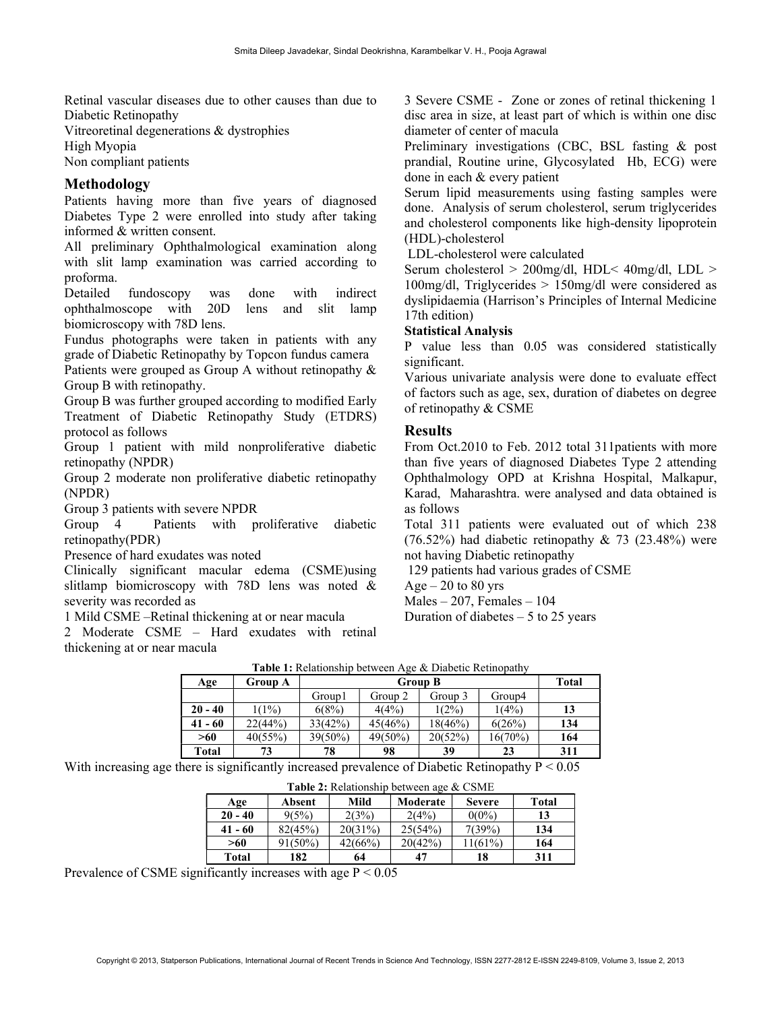Retinal vascular diseases due to other causes than due to Diabetic Retinopathy

Vitreoretinal degenerations & dystrophies

High Myopia

Non compliant patients

# Methodology

Patients having more than five years of diagnosed Diabetes Type 2 were enrolled into study after taking informed & written consent.

All preliminary Ophthalmological examination along with slit lamp examination was carried according to proforma.

Detailed fundoscopy was done with indirect ophthalmoscope with 20D lens and slit lamp biomicroscopy with 78D lens.

Fundus photographs were taken in patients with any grade of Diabetic Retinopathy by Topcon fundus camera Patients were grouped as Group A without retinopathy &

Group B with retinopathy.

Group B was further grouped according to modified Early Treatment of Diabetic Retinopathy Study (ETDRS) protocol as follows

Group 1 patient with mild nonproliferative diabetic retinopathy (NPDR)

Group 2 moderate non proliferative diabetic retinopathy (NPDR)

Group 3 patients with severe NPDR

Group 4 Patients with proliferative diabetic retinopathy(PDR)

Presence of hard exudates was noted

Clinically significant macular edema (CSME)using slitlamp biomicroscopy with 78D lens was noted & severity was recorded as

1 Mild CSME –Retinal thickening at or near macula

2 Moderate CSME – Hard exudates with retinal thickening at or near macula

3 Severe CSME - Zone or zones of retinal thickening 1 disc area in size, at least part of which is within one disc diameter of center of macula

Preliminary investigations (CBC, BSL fasting & post prandial, Routine urine, Glycosylated Hb, ECG) were done in each & every patient

Serum lipid measurements using fasting samples were done. Analysis of serum cholesterol, serum triglycerides and cholesterol components like high-density lipoprotein (HDL)-cholesterol

LDL-cholesterol were calculated

Serum cholesterol > 200mg/dl, HDL< 40mg/dl, LDL > 100mg/dl, Triglycerides > 150mg/dl were considered as dyslipidaemia (Harrison's Principles of Internal Medicine 17th edition)

# Statistical Analysis

P value less than 0.05 was considered statistically significant.

Various univariate analysis were done to evaluate effect of factors such as age, sex, duration of diabetes on degree of retinopathy & CSME

# Results

From Oct.2010 to Feb. 2012 total 311patients with more than five years of diagnosed Diabetes Type 2 attending Ophthalmology OPD at Krishna Hospital, Malkapur, Karad, Maharashtra. were analysed and data obtained is as follows

Total 311 patients were evaluated out of which 238  $(76.52\%)$  had diabetic retinopathy & 73 (23.48%) were not having Diabetic retinopathy

129 patients had various grades of CSME

 $Age - 20$  to 80 yrs

 $Males - 207$ , Females  $-104$ 

Duration of diabetes  $-5$  to 25 years

| <b>Table 1:</b> Relationship between Age & Diabetic Retinopathy |                |            |                |         |         |              |
|-----------------------------------------------------------------|----------------|------------|----------------|---------|---------|--------------|
| Age                                                             | <b>Group A</b> |            | <b>Group B</b> |         |         | <b>Total</b> |
|                                                                 |                | Group1     | Group 2        | Group 3 | Group4  |              |
| $20 - 40$                                                       | 1(1%)          | 6(8%)      | 4(4%)          | 1(2%)   | 1(4%)   | 13           |
| $41 - 60$                                                       | 22(44%)        | 33(42%)    | 45(46%)        | 18(46%) | 6(26%)  | 134          |
| >60                                                             | 40(55%)        | $39(50\%)$ | 49(50%)        | 20(52%) | 16(70%) | 164          |
| <b>Total</b>                                                    | 73             | 78         | 98             | 39      | 23      | 311          |

With increasing age there is significantly increased prevalence of Diabetic Retinopathy  $P \le 0.05$ 

| Absent     | Mild    | Moderate | <b>Severe</b> | Total                                           |  |
|------------|---------|----------|---------------|-------------------------------------------------|--|
| 9(5%)      | 2(3%)   | 2(4%)    | $0(0\%)$      | 13                                              |  |
| 82(45%)    | 20(31%) | 25(54%)  | 7(39%)        | 134                                             |  |
| $91(50\%)$ | 42(66%) | 20(42%)  | 11(61%)       | 164                                             |  |
| 182        | 64      | 47       | 18            | 311                                             |  |
|            |         |          |               | <b>Table 2:</b> Relationship between age & CSME |  |

Table 2: Relationship between age & CSME

Prevalence of CSME significantly increases with age P < 0.05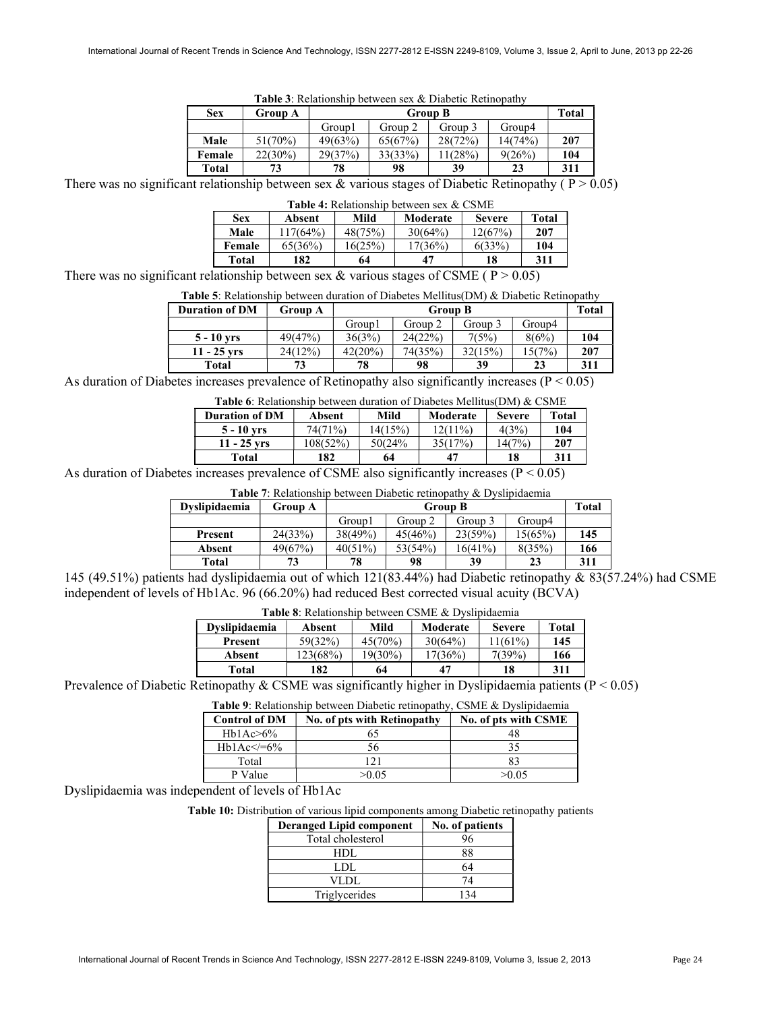| Table 3: Relationship between sex & Diabetic Retinopathy |  |  |  |
|----------------------------------------------------------|--|--|--|
|----------------------------------------------------------|--|--|--|

| <b>Sex</b> | Group A    | <b>Group B</b> |         |         |         | Total |
|------------|------------|----------------|---------|---------|---------|-------|
|            |            | Group1         | Group 2 | Group 3 | Group4  |       |
| Male       | 51(70%)    | 49(63%)        | 65(67%) | 28(72%) | 14(74%) | 207   |
| Female     | $22(30\%)$ | 29(37%)        | 33(33%) | 1(28%)  | 9(26%)  | 104   |
| Total      | 73         | 78             | 98      | 39      | 23      | 311   |

There was no significant relationship between sex  $&$  various stages of Diabetic Retinopathy ( $P > 0.05$ )

| <b>Table 4:</b> Relationship between sex & CSME |          |         |          |               |         |
|-------------------------------------------------|----------|---------|----------|---------------|---------|
| <b>Sex</b>                                      | Absent   | Mild    | Moderate | <b>Severe</b> | Total   |
| Male                                            | 117(64%) | 48(75%) | 30(64%)  | 12(67%)       | 207     |
| Female                                          | 65(36%)  | 16(25%) | 17(36%)  | 6(33%)        | 104     |
| Total                                           | 182      | 64      | 47       | 18            | 311     |
| .                                               |          | $\sim$  | -------  |               | - - - - |

There was no significant relationship between sex & various stages of CSME ( $P > 0.05$ )

| <b>Table 5:</b> Relationship between duration of Diabetes Mellitus(DM) & Diabetic Retinopathy |  |
|-----------------------------------------------------------------------------------------------|--|
|-----------------------------------------------------------------------------------------------|--|

| <b>Duration of DM</b> | Group A | <b>Group B</b> |         |         | Total  |     |
|-----------------------|---------|----------------|---------|---------|--------|-----|
|                       |         | Group1         | Group 2 | Group 3 | Group4 |     |
| $5 - 10$ vrs          | 49(47%) | 36(3%)         | 24(22%) | 7(5%)   | 8(6%)  | 104 |
| $11 - 25$ vrs         | 24(12%) | 42(20%)        | 74(35%) | 32(15%) | 15(7%) | 207 |
| Total                 | 73      | 78             | 98      | 39      | 23     | 311 |

As duration of Diabetes increases prevalence of Retinopathy also significantly increases  $(P < 0.05)$ 

| <b>Table 6:</b> Relationship between duration of Diabetes Mellitus(DM) & CSME |  |  |  |
|-------------------------------------------------------------------------------|--|--|--|
|-------------------------------------------------------------------------------|--|--|--|

| <b>Duration of DM</b> | Absent   | Mild    | Moderate   | <b>Severe</b> | Total |
|-----------------------|----------|---------|------------|---------------|-------|
| $5 - 10$ vrs          | 74(71%)  | 14(15%) | $12(11\%)$ | 4(3%)         | 104   |
| $11 - 25$ vrs         | 108(52%) | 50(24%  | 35(17%)    | 14(7%)        | 207   |
| Total                 | 182      | 64      | 47         | 18            | 311   |

As duration of Diabetes increases prevalence of CSME also significantly increases (P < 0.05)

| <b>Table 7:</b> Relationship between Diabetic retinopathy & Dyslipidaemia |         |            |                |            |         |     |
|---------------------------------------------------------------------------|---------|------------|----------------|------------|---------|-----|
| Dyslipidaemia                                                             | Group A |            | <b>Group B</b> |            |         |     |
|                                                                           |         | Group1     | Group 2        | Group 3    | Group4  |     |
| Present                                                                   | 24(33%) | 38(49%)    | 45(46%)        | 23(59%)    | 15(65%) | 145 |
| Absent                                                                    | 49(67%) | $40(51\%)$ | 53(54%)        | $16(41\%)$ | 8(35%)  | 166 |
| <b>Total</b>                                                              | 73      | 78         | 98             | 39         | 23      | 311 |

145 (49.51%) patients had dyslipidaemia out of which 121(83.44%) had Diabetic retinopathy & 83(57.24%) had CSME independent of levels of Hb1Ac. 96 (66.20%) had reduced Best corrected visual acuity (BCVA)

| <b>Table 8:</b> Relationship between CSME & Dyslipidaemia |                      |                |          |               |                                 |  |
|-----------------------------------------------------------|----------------------|----------------|----------|---------------|---------------------------------|--|
| <b>Dyslipidaemia</b>                                      | Absent               | Mild           | Moderate | <b>Severe</b> | <b>Total</b>                    |  |
| Present                                                   | 59(32%)              | $45(70\%)$     | 30(64%)  | 1(61%)        | 145                             |  |
| Absent                                                    | 123(68%)             | 19(30%)        | 17(36%)  | 7(39%)        | 166                             |  |
| Total                                                     | 182                  | 64             |          | 18            | 311                             |  |
| $\mathbf{r}$<br>$\sim$                                    | $\sim$ $\sim$ $\sim$ | $\cdot$ $\sim$ |          |               | $\cdot$ $\cdot$ $\cdot$ $\cdot$ |  |

Prevalence of Diabetic Retinopathy & CSME was significantly higher in Dyslipidaemia patients ( $P < 0.05$ )

Table 9: Relationship between Diabetic retinopathy, CSME & Dyslipidaemia

| <b>Control of DM</b> | No. of pts with Retinopathy | No. of pts with CSME |
|----------------------|-----------------------------|----------------------|
| Hb1Ac>6%             |                             |                      |
| $Hb1Ac \leq 6\%$     | 56                          |                      |
| Total                | 21                          |                      |
| P Value              | >0.05                       | >0.05                |

Dyslipidaemia was independent of levels of Hb1Ac

Table 10: Distribution of various lipid components among Diabetic retinopathy patients

| <b>Deranged Lipid component</b> | No. of patients |
|---------------------------------|-----------------|
| Total cholesterol               |                 |
| HDL.                            | 88              |
| LDL                             | 64              |
| VLDL                            | 74              |
| Triglycerides                   | 134             |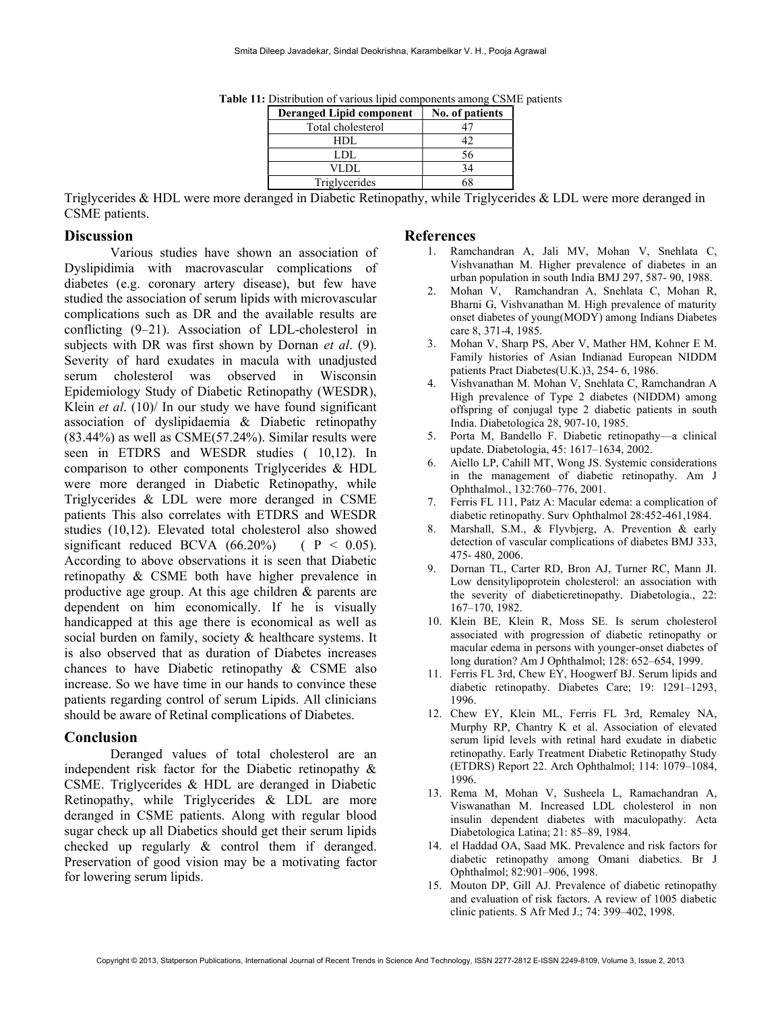| <b>Deranged Lipid component</b> | No. of patients |
|---------------------------------|-----------------|
| Total cholesterol               |                 |
| HDL.                            |                 |
| LDL.                            | 56              |
| VLDL                            |                 |
| Triglycerides                   |                 |

Table 11: Distribution of various lipid components among CSME patients

Triglycerides & HDL were more deranged in Diabetic Retinopathy, while Triglycerides & LDL were more deranged in CSME patients.

#### **Discussion**

Various studies have shown an association of Dyslipidimia with macrovascular complications of diabetes (e.g. coronary artery disease), but few have studied the association of serum lipids with microvascular complications such as DR and the available results are conflicting (9–21). Association of LDL-cholesterol in subjects with DR was first shown by Dornan *et al.* (9). Severity of hard exudates in macula with unadjusted serum cholesterol was observed in Wisconsin Epidemiology Study of Diabetic Retinopathy (WESDR), Klein *et al.* (10)/ In our study we have found significant association of dyslipidaemia & Diabetic retinopathy (83.44%) as well as CSME(57.24%). Similar results were seen in ETDRS and WESDR studies ( 10,12). In comparison to other components Triglycerides & HDL were more deranged in Diabetic Retinopathy, while Triglycerides & LDL were more deranged in CSME patients This also correlates with ETDRS and WESDR studies (10,12). Elevated total cholesterol also showed significant reduced BCVA  $(66.20\%)$  ( P < 0.05). According to above observations it is seen that Diabetic retinopathy & CSME both have higher prevalence in productive age group. At this age children & parents are dependent on him economically. If he is visually handicapped at this age there is economical as well as social burden on family, society & healthcare systems. It is also observed that as duration of Diabetes increases chances to have Diabetic retinopathy & CSME also increase. So we have time in our hands to convince these patients regarding control of serum Lipids. All clinicians should be aware of Retinal complications of Diabetes.

## Conclusion

Deranged values of total cholesterol are an independent risk factor for the Diabetic retinopathy & CSME. Triglycerides & HDL are deranged in Diabetic Retinopathy, while Triglycerides & LDL are more deranged in CSME patients. Along with regular blood sugar check up all Diabetics should get their serum lipids checked up regularly & control them if deranged. Preservation of good vision may be a motivating factor for lowering serum lipids.

#### References

- 1. Ramchandran A, Jali MV, Mohan V, Snehlata C, Vishvanathan M. Higher prevalence of diabetes in an urban population in south India BMJ 297, 587- 90, 1988.
- 2. Mohan V, Ramchandran A, Snehlata C, Mohan R, Bharni G, Vishvanathan M. High prevalence of maturity onset diabetes of young(MODY) among Indians Diabetes care 8, 371-4, 1985.
- 3. Mohan V, Sharp PS, Aber V, Mather HM, Kohner E M. Family histories of Asian Indianad European NIDDM patients Pract Diabetes(U.K.)3, 254- 6, 1986.
- 4. Vishvanathan M. Mohan V, Snehlata C, Ramchandran A High prevalence of Type 2 diabetes (NIDDM) among offspring of conjugal type 2 diabetic patients in south India. Diabetologica 28, 907-10, 1985.
- 5. Porta M, Bandello F. Diabetic retinopathy—a clinical update. Diabetologia, 45: 1617–1634, 2002.
- 6. Aiello LP, Cahill MT, Wong JS. Systemic considerations in the management of diabetic retinopathy. Am J Ophthalmol., 132:760–776, 2001.
- 7. Ferris FL 111, Patz A: Macular edema: a complication of diabetic retinopathy. Surv Ophthalmol 28:452-461,1984.
- 8. Marshall, S.M., & Flyvbjerg, A. Prevention & early detection of vascular complications of diabetes BMJ 333, 475- 480, 2006.
- 9. Dornan TL, Carter RD, Bron AJ, Turner RC, Mann JI. Low densitylipoprotein cholesterol: an association with the severity of diabeticretinopathy. Diabetologia., 22: 167–170, 1982.
- 10. Klein BE, Klein R, Moss SE. Is serum cholesterol associated with progression of diabetic retinopathy or macular edema in persons with younger-onset diabetes of long duration? Am J Ophthalmol; 128: 652–654, 1999.
- 11. Ferris FL 3rd, Chew EY, Hoogwerf BJ. Serum lipids and diabetic retinopathy. Diabetes Care; 19: 1291–1293, 1996.
- 12. Chew EY, Klein ML, Ferris FL 3rd, Remaley NA, Murphy RP, Chantry K et al. Association of elevated serum lipid levels with retinal hard exudate in diabetic retinopathy. Early Treatment Diabetic Retinopathy Study (ETDRS) Report 22. Arch Ophthalmol; 114: 1079–1084, 1996.
- 13. Rema M, Mohan V, Susheela L, Ramachandran A, Viswanathan M. Increased LDL cholesterol in non insulin dependent diabetes with maculopathy. Acta Diabetologica Latina; 21: 85–89, 1984.
- 14. el Haddad OA, Saad MK. Prevalence and risk factors for diabetic retinopathy among Omani diabetics. Br J Ophthalmol; 82:901–906, 1998.
- 15. Mouton DP, Gill AJ. Prevalence of diabetic retinopathy and evaluation of risk factors. A review of 1005 diabetic clinic patients. S Afr Med J.; 74: 399–402, 1998.